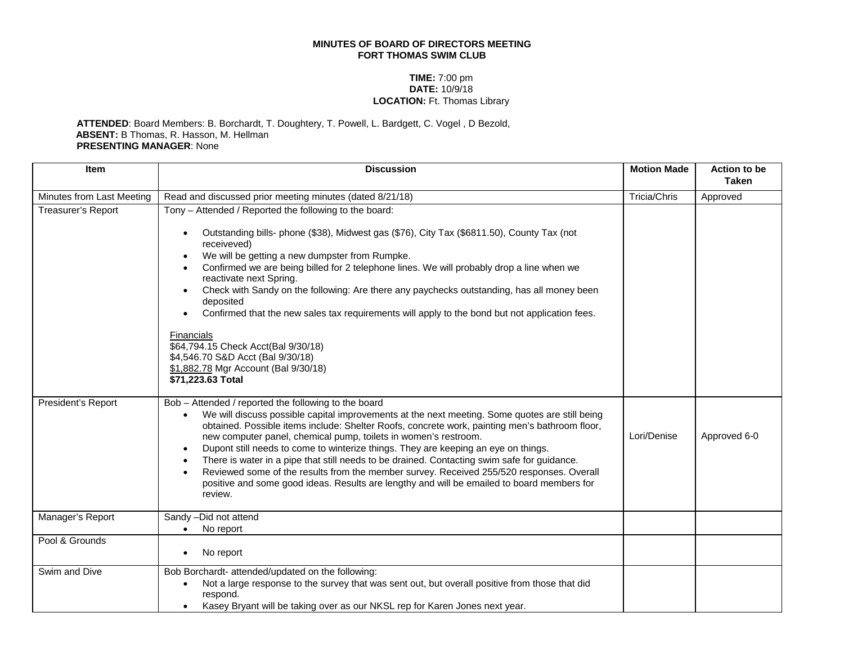## **MINUTES OF BOARD OF DIRECTORS MEETING FORT THOMAS SWIM CLUB**

## **TIME:** 7:00 pm **DATE:** 10/9/18 **LOCATION:** Ft. Thomas Library

## **ATTENDED**: Board Members: B. Borchardt, T. Doughtery, T. Powell, L. Bardgett, C. Vogel , D Bezold, **ABSENT:** B Thomas, R. Hasson, M. Hellman **PRESENTING MANAGER**: None

| <b>Item</b>               | <b>Discussion</b>                                                                                                                                                                                                                                                                                                                                                                                                                                                                                                                                                                                                                                                                                                     | <b>Motion Made</b> | <b>Action to be</b><br><b>Taken</b> |
|---------------------------|-----------------------------------------------------------------------------------------------------------------------------------------------------------------------------------------------------------------------------------------------------------------------------------------------------------------------------------------------------------------------------------------------------------------------------------------------------------------------------------------------------------------------------------------------------------------------------------------------------------------------------------------------------------------------------------------------------------------------|--------------------|-------------------------------------|
| Minutes from Last Meeting | Read and discussed prior meeting minutes (dated 8/21/18)                                                                                                                                                                                                                                                                                                                                                                                                                                                                                                                                                                                                                                                              | Tricia/Chris       | Approved                            |
| Treasurer's Report        | Tony - Attended / Reported the following to the board:<br>Outstanding bills- phone (\$38), Midwest gas (\$76), City Tax (\$6811.50), County Tax (not<br>receiveved)<br>We will be getting a new dumpster from Rumpke.<br>Confirmed we are being billed for 2 telephone lines. We will probably drop a line when we<br>reactivate next Spring.<br>Check with Sandy on the following: Are there any paychecks outstanding, has all money been<br>deposited<br>Confirmed that the new sales tax requirements will apply to the bond but not application fees.<br>Financials<br>\$64,794.15 Check Acct(Bal 9/30/18)<br>\$4,546.70 S&D Acct (Bal 9/30/18)<br>\$1,882.78 Mgr Account (Bal 9/30/18)<br>\$71,223.63 Total     |                    |                                     |
| President's Report        | Bob - Attended / reported the following to the board<br>We will discuss possible capital improvements at the next meeting. Some quotes are still being<br>obtained. Possible items include: Shelter Roofs, concrete work, painting men's bathroom floor,<br>new computer panel, chemical pump, toilets in women's restroom.<br>Dupont still needs to come to winterize things. They are keeping an eye on things.<br>There is water in a pipe that still needs to be drained. Contacting swim safe for guidance.<br>Reviewed some of the results from the member survey. Received 255/520 responses. Overall<br>positive and some good ideas. Results are lengthy and will be emailed to board members for<br>review. | Lori/Denise        | Approved 6-0                        |
| Manager's Report          | Sandy -Did not attend<br>No report                                                                                                                                                                                                                                                                                                                                                                                                                                                                                                                                                                                                                                                                                    |                    |                                     |
| Pool & Grounds            | No report                                                                                                                                                                                                                                                                                                                                                                                                                                                                                                                                                                                                                                                                                                             |                    |                                     |
| Swim and Dive             | Bob Borchardt- attended/updated on the following:<br>Not a large response to the survey that was sent out, but overall positive from those that did<br>respond.<br>Kasey Bryant will be taking over as our NKSL rep for Karen Jones next year.                                                                                                                                                                                                                                                                                                                                                                                                                                                                        |                    |                                     |